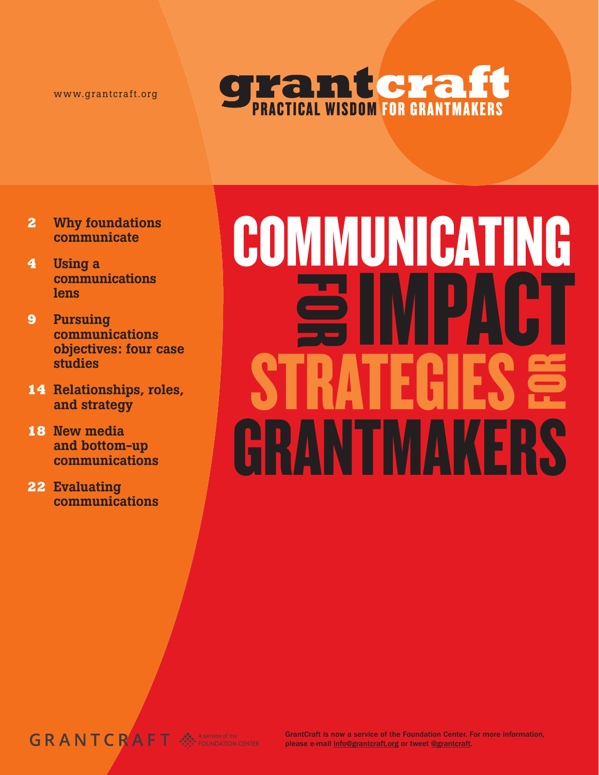www.grantcraft.org



- **2** Why foundations communicate
- **4** Using a communications lens
- **9** Pursuing communications objectives: four case studies
- **14** Relationships, roles, and strategy
- **18** New media and bottom-up communications
- **22** Evaluating communications

# Funding communicating **GOMPACT** STRATEGIES S imphot. STRATEGIES Grantmakers

## GRANTCRAFT

GrantCraft is now a service of the Foundation Center. For more information, please e-mail info@grantcraft.org or tweet @grantcraft.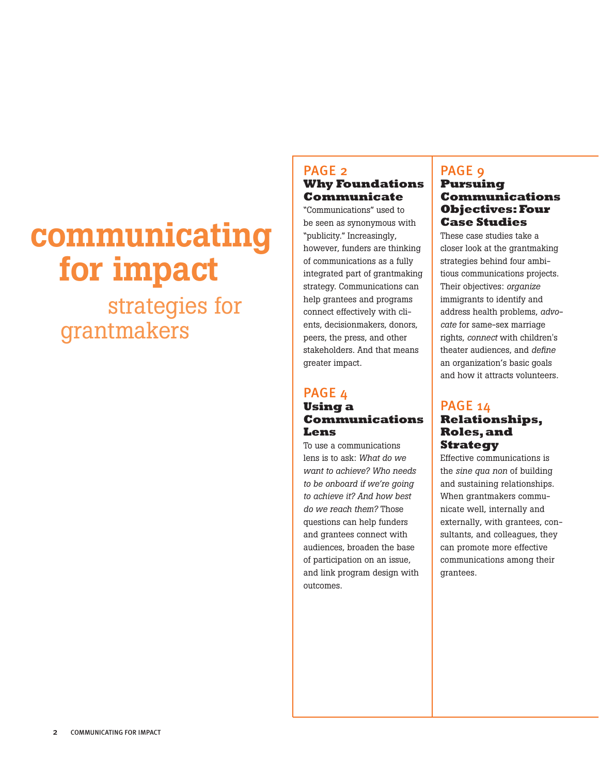# communicating for impact

 strategies for grantmakers

## PAGE 2 **Why Foundations Communicate**

"Communications" used to be seen as synonymous with "publicity." Increasingly, however, funders are thinking of communications as a fully integrated part of grantmaking strategy. Communications can help grantees and programs connect effectively with clients, decisionmakers, donors, peers, the press, and other stakeholders. And that means greater impact.

### PAGE 4 **Using a Communications Lens**

To use a communications lens is to ask: *What do we want to achieve? Who needs to be onboard if we're going to achieve it? And how best do we reach them?* Those questions can help funders and grantees connect with audiences, broaden the base of participation on an issue, and link program design with outcomes.

## PAGE 9 **Pursuing Communications Objectives: Four Case Studies**

These case studies take a closer look at the grantmaking strategies behind four ambitious communications projects. Their objectives: *organize* immigrants to identify and address health problems, *advocate* for same-sex marriage rights, *connect* with children's theater audiences, and *define* an organization's basic goals and how it attracts volunteers.

## PAGE 14 **Relationships, Roles, and Strategy**

Effective communications is the *sine qua non* of building and sustaining relationships. When grantmakers communicate well, internally and externally, with grantees, consultants, and colleagues, they can promote more effective communications among their grantees.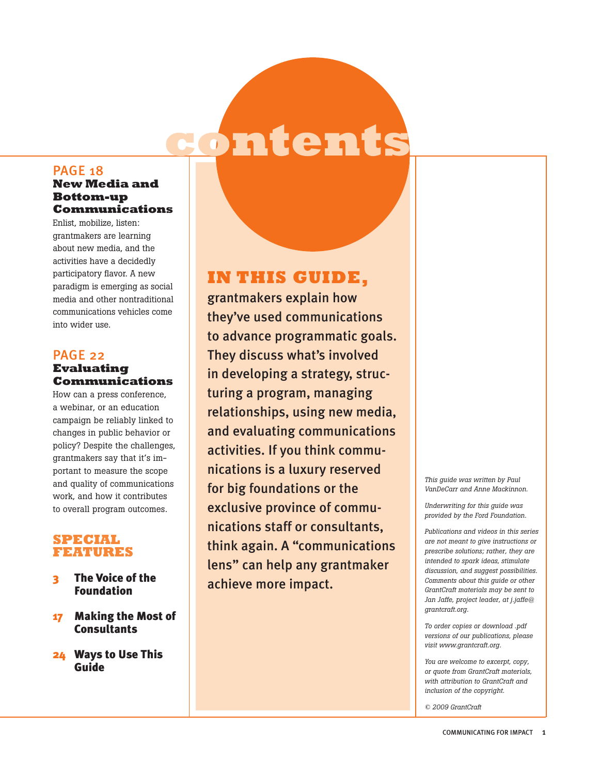# ontents

## PAGE 18

#### **New Media and Bottom-up Communications**

Enlist, mobilize, listen: grantmakers are learning about new media, and the activities have a decidedly participatory flavor. A new paradigm is emerging as social media and other nontraditional communications vehicles come into wider use.

#### PAGE 22 **Evaluating Communications**

How can a press conference, a webinar, or an education campaign be reliably linked to changes in public behavior or policy? Despite the challenges, grantmakers say that it's important to measure the scope and quality of communications work, and how it contributes to overall program outcomes.

## **Special Features**

- **The Voice of the** Foundation
- 17 Making the Most of **Consultants**
- 24 Ways to Use This Guide

## **IN THIS GUIDE,**

grantmakers explain how they've used communications to advance programmatic goals. They discuss what's involved in developing a strategy, structuring a program, managing relationships, using new media, and evaluating communications activities. If you think communications is a luxury reserved for big foundations or the exclusive province of communications staff or consultants, think again. A "communications lens" can help any grantmaker achieve more impact.

*This guide was written by Paul VanDeCarr and Anne Mackinnon.* 

*Underwriting for this guide was provided by the Ford Foundation.* 

*Publications and videos in this series are not meant to give instructions or prescribe solutions; rather, they are intended to spark ideas, stimulate discussion, and suggest possibilities. Comments about this guide or other GrantCraft materials may be sent to Jan Jaffe, project leader, at j.jaffe@ grantcraft.org.*

*To order copies or download .pdf versions of our publications, please visit www.grantcraft.org.*

*You are welcome to excerpt, copy, or quote from GrantCraft materials, with attribution to GrantCraft and inclusion of the copyright.*

*© 2009 GrantCraft*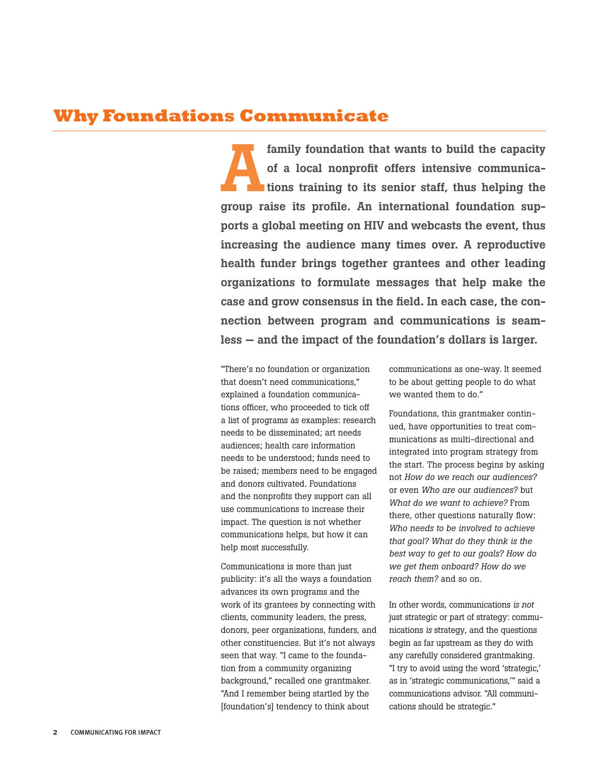## **Why Foundations Communicate**

family foundation that wants to build the capacity of a local nonprofit offers intensive communica**the interest is senior staff, thus helping the** group raise its profile. An international foundation supports a global meeting on HIV and webcasts the event, thus increasing the audience many times over. A reproductive health funder brings together grantees and other leading organizations to formulate messages that help make the case and grow consensus in the field. In each case, the connection between program and communications is seamless — and the impact of the foundation's dollars is larger. A

"There's no foundation or organization that doesn't need communications," explained a foundation communications officer, who proceeded to tick off a list of programs as examples: research needs to be disseminated; art needs audiences; health care information needs to be understood; funds need to be raised; members need to be engaged and donors cultivated. Foundations and the nonprofits they support can all use communications to increase their impact. The question is not whether communications helps, but how it can help most successfully.

Communications is more than just publicity: it's all the ways a foundation advances its own programs and the work of its grantees by connecting with clients, community leaders, the press, donors, peer organizations, funders, and other constituencies. But it's not always seen that way. "I came to the foundation from a community organizing background," recalled one grantmaker. "And I remember being startled by the [foundation's] tendency to think about

communications as one-way. It seemed to be about getting people to do what we wanted them to do."

Foundations, this grantmaker continued, have opportunities to treat communications as multi-directional and integrated into program strategy from the start. The process begins by asking not *How do we reach our audiences?*  or even *Who are our audiences?* but *What do we want to achieve?* From there, other questions naturally flow: *Who needs to be involved to achieve that goal? What do they think is the best way to get to our goals? How do we get them onboard? How do we reach them?* and so on.

In other words, communications *is not* just strategic or part of strategy: communications *is* strategy, and the questions begin as far upstream as they do with any carefully considered grantmaking. "I try to avoid using the word 'strategic,' as in 'strategic communications,'" said a communications advisor. "All communications should be strategic."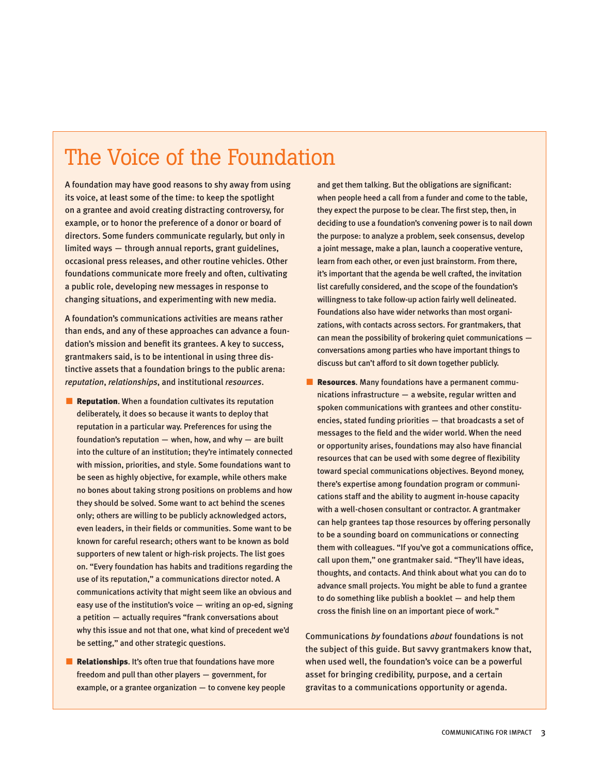## The Voice of the Foundation

A foundation may have good reasons to shy away from using its voice, at least some of the time: to keep the spotlight on a grantee and avoid creating distracting controversy, for example, or to honor the preference of a donor or board of directors. Some funders communicate regularly, but only in limited ways — through annual reports, grant guidelines, occasional press releases, and other routine vehicles. Other foundations communicate more freely and often, cultivating a public role, developing new messages in response to changing situations, and experimenting with new media.

A foundation's communications activities are means rather than ends, and any of these approaches can advance a foundation's mission and benefit its grantees. A key to success, grantmakers said, is to be intentional in using three distinctive assets that a foundation brings to the public arena: *reputation*, *relationships*, and institutional *resources*.

- **Reputation**. When a foundation cultivates its reputation deliberately, it does so because it wants to deploy that reputation in a particular way. Preferences for using the foundation's reputation  $-$  when, how, and why  $-$  are built into the culture of an institution; they're intimately connected with mission, priorities, and style. Some foundations want to be seen as highly objective, for example, while others make no bones about taking strong positions on problems and how they should be solved. Some want to act behind the scenes only; others are willing to be publicly acknowledged actors, even leaders, in their fields or communities. Some want to be known for careful research; others want to be known as bold supporters of new talent or high-risk projects. The list goes on. "Every foundation has habits and traditions regarding the use of its reputation," a communications director noted. A communications activity that might seem like an obvious and easy use of the institution's voice — writing an op-ed, signing a petition — actually requires "frank conversations about why this issue and not that one, what kind of precedent we'd be setting," and other strategic questions.
- Relationships. It's often true that foundations have more freedom and pull than other players — government, for example, or a grantee organization — to convene key people

and get them talking. But the obligations are significant: when people heed a call from a funder and come to the table, they expect the purpose to be clear. The first step, then, in deciding to use a foundation's convening power is to nail down the purpose: to analyze a problem, seek consensus, develop a joint message, make a plan, launch a cooperative venture, learn from each other, or even just brainstorm. From there, it's important that the agenda be well crafted, the invitation list carefully considered, and the scope of the foundation's willingness to take follow-up action fairly well delineated. Foundations also have wider networks than most organizations, with contacts across sectors. For grantmakers, that can mean the possibility of brokering quiet communications conversations among parties who have important things to discuss but can't afford to sit down together publicly.

■ Resources. Many foundations have a permanent communications infrastructure — a website, regular written and spoken communications with grantees and other constituencies, stated funding priorities — that broadcasts a set of messages to the field and the wider world. When the need or opportunity arises, foundations may also have financial resources that can be used with some degree of flexibility toward special communications objectives. Beyond money, there's expertise among foundation program or communications staff and the ability to augment in-house capacity with a well-chosen consultant or contractor. A grantmaker can help grantees tap those resources by offering personally to be a sounding board on communications or connecting them with colleagues. "If you've got a communications office, call upon them," one grantmaker said. "They'll have ideas, thoughts, and contacts. And think about what you can do to advance small projects. You might be able to fund a grantee to do something like publish a booklet — and help them cross the finish line on an important piece of work."

Communications *by* foundations *about* foundations is not the subject of this guide. But savvy grantmakers know that, when used well, the foundation's voice can be a powerful asset for bringing credibility, purpose, and a certain gravitas to a communications opportunity or agenda.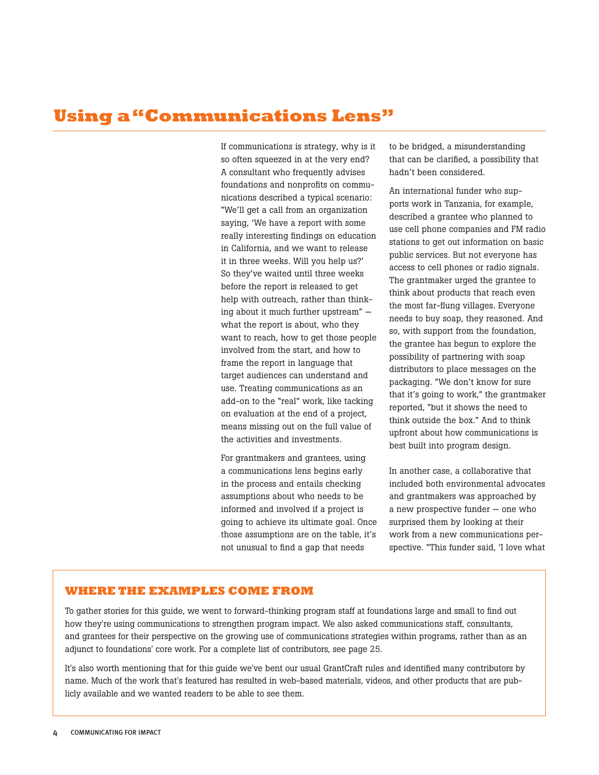## **Using a "Communications Lens"**

If communications is strategy, why is it so often squeezed in at the very end? A consultant who frequently advises foundations and nonprofits on communications described a typical scenario: "We'll get a call from an organization saying, 'We have a report with some really interesting findings on education in California, and we want to release it in three weeks. Will you help us?' So they've waited until three weeks before the report is released to get help with outreach, rather than thinking about it much further upstream" what the report is about, who they want to reach, how to get those people involved from the start, and how to frame the report in language that target audiences can understand and use. Treating communications as an add-on to the "real" work, like tacking on evaluation at the end of a project, means missing out on the full value of the activities and investments.

For grantmakers and grantees, using a communications lens begins early in the process and entails checking assumptions about who needs to be informed and involved if a project is going to achieve its ultimate goal. Once those assumptions are on the table, it's not unusual to find a gap that needs

to be bridged, a misunderstanding that can be clarified, a possibility that hadn't been considered.

An international funder who supports work in Tanzania, for example, described a grantee who planned to use cell phone companies and FM radio stations to get out information on basic public services. But not everyone has access to cell phones or radio signals. The grantmaker urged the grantee to think about products that reach even the most far-flung villages. Everyone needs to buy soap, they reasoned. And so, with support from the foundation, the grantee has begun to explore the possibility of partnering with soap distributors to place messages on the packaging. "We don't know for sure that it's going to work," the grantmaker reported, "but it shows the need to think outside the box." And to think upfront about how communications is best built into program design.

In another case, a collaborative that included both environmental advocates and grantmakers was approached by a new prospective funder — one who surprised them by looking at their work from a new communications perspective. "This funder said, 'I love what

#### **WHERE THE EXAMPLES COME FROM**

To gather stories for this guide, we went to forward-thinking program staff at foundations large and small to find out how they're using communications to strengthen program impact. We also asked communications staff, consultants, and grantees for their perspective on the growing use of communications strategies within programs, rather than as an adjunct to foundations' core work. For a complete list of contributors, see page 25.

It's also worth mentioning that for this guide we've bent our usual GrantCraft rules and identified many contributors by name. Much of the work that's featured has resulted in web-based materials, videos, and other products that are publicly available and we wanted readers to be able to see them.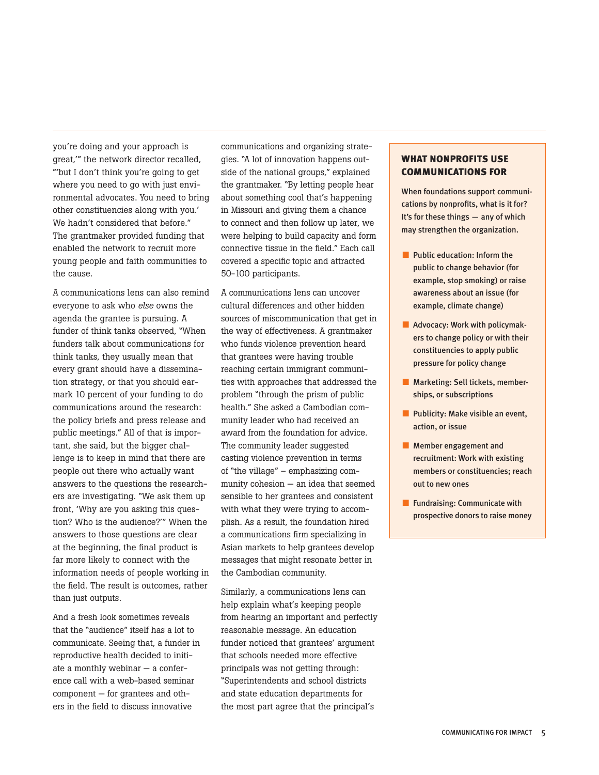you're doing and your approach is great,'" the network director recalled, "'but I don't think you're going to get where you need to go with just environmental advocates. You need to bring other constituencies along with you.' We hadn't considered that before." The grantmaker provided funding that enabled the network to recruit more young people and faith communities to the cause.

A communications lens can also remind everyone to ask who *else* owns the agenda the grantee is pursuing. A funder of think tanks observed, "When funders talk about communications for think tanks, they usually mean that every grant should have a dissemination strategy, or that you should earmark 10 percent of your funding to do communications around the research: the policy briefs and press release and public meetings." All of that is important, she said, but the bigger challenge is to keep in mind that there are people out there who actually want answers to the questions the researchers are investigating. "We ask them up front, 'Why are you asking this question? Who is the audience?'" When the answers to those questions are clear at the beginning, the final product is far more likely to connect with the information needs of people working in the field. The result is outcomes, rather than just outputs.

And a fresh look sometimes reveals that the "audience" itself has a lot to communicate. Seeing that, a funder in reproductive health decided to initiate a monthly webinar — a conference call with a web-based seminar component — for grantees and others in the field to discuss innovative

communications and organizing strategies. "A lot of innovation happens outside of the national groups," explained the grantmaker. "By letting people hear about something cool that's happening in Missouri and giving them a chance to connect and then follow up later, we were helping to build capacity and form connective tissue in the field." Each call covered a specific topic and attracted 50-100 participants.

A communications lens can uncover cultural differences and other hidden sources of miscommunication that get in the way of effectiveness. A grantmaker who funds violence prevention heard that grantees were having trouble reaching certain immigrant communities with approaches that addressed the problem "through the prism of public health." She asked a Cambodian community leader who had received an award from the foundation for advice. The community leader suggested casting violence prevention in terms of "the village" – emphasizing community cohesion — an idea that seemed sensible to her grantees and consistent with what they were trying to accomplish. As a result, the foundation hired a communications firm specializing in Asian markets to help grantees develop messages that might resonate better in the Cambodian community.

Similarly, a communications lens can help explain what's keeping people from hearing an important and perfectly reasonable message. An education funder noticed that grantees' argument that schools needed more effective principals was not getting through: "Superintendents and school districts and state education departments for the most part agree that the principal's

#### WHAT NONPROFITS USE COMMUNICATIONS FOR

When foundations support communications by nonprofits, what is it for? It's for these things — any of which may strengthen the organization.

- Public education: Inform the public to change behavior (for example, stop smoking) or raise awareness about an issue (for example, climate change)
- Advocacy: Work with policymakers to change policy or with their constituencies to apply public pressure for policy change
- Marketing: Sell tickets, memberships, or subscriptions
- Publicity: Make visible an event, action, or issue
- Member engagement and recruitment: Work with existing members or constituencies; reach out to new ones
- Fundraising: Communicate with prospective donors to raise money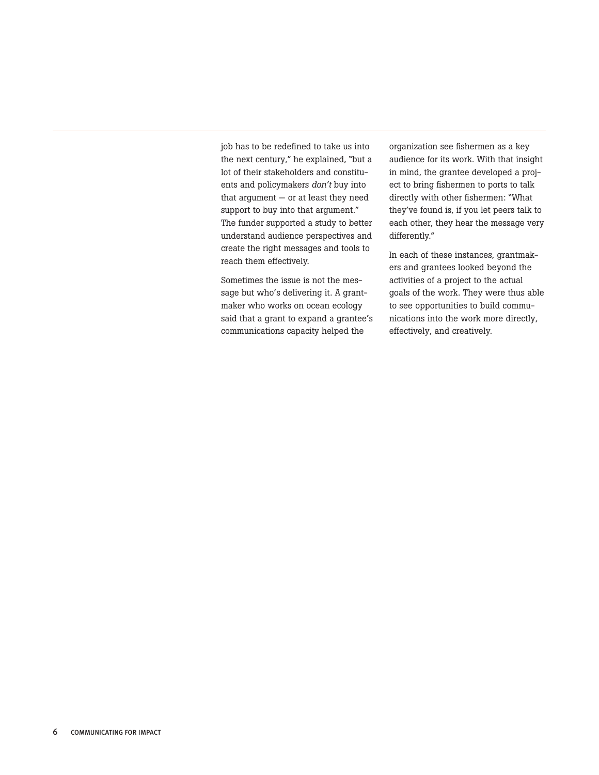job has to be redefined to take us into the next century," he explained, "but a lot of their stakeholders and constituents and policymakers *don't* buy into that argument  $-$  or at least they need support to buy into that argument." The funder supported a study to better understand audience perspectives and create the right messages and tools to reach them effectively.

Sometimes the issue is not the message but who's delivering it. A grantmaker who works on ocean ecology said that a grant to expand a grantee's communications capacity helped the

organization see fishermen as a key audience for its work. With that insight in mind, the grantee developed a project to bring fishermen to ports to talk directly with other fishermen: "What they've found is, if you let peers talk to each other, they hear the message very differently."

In each of these instances, grantmakers and grantees looked beyond the activities of a project to the actual goals of the work. They were thus able to see opportunities to build communications into the work more directly, effectively, and creatively.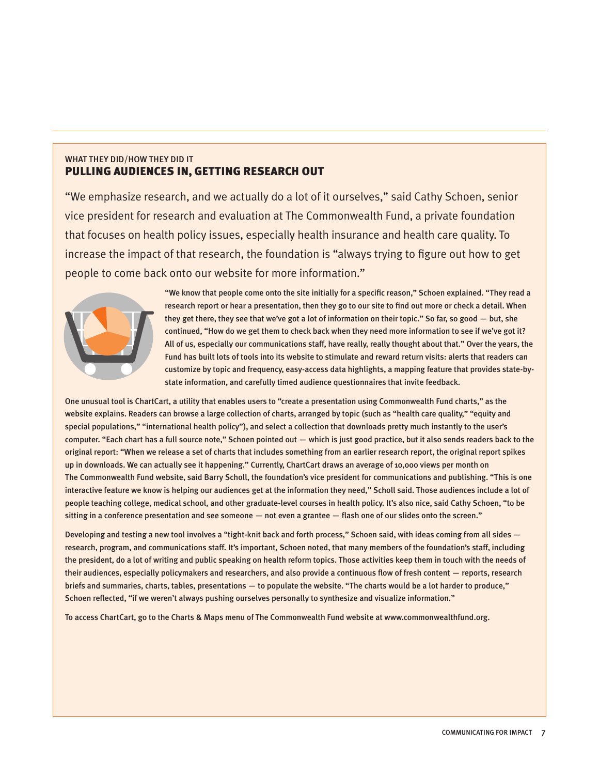#### WHAT THEY DID/HOW THEY DID IT Pulling Audiences In, Getting Research Out

"We emphasize research, and we actually do a lot of it ourselves," said Cathy Schoen, senior vice president for research and evaluation at The Commonwealth Fund, a private foundation that focuses on health policy issues, especially health insurance and health care quality. To increase the impact of that research, the foundation is "always trying to figure out how to get people to come back onto our website for more information."



"We know that people come onto the site initially for a specific reason," Schoen explained. "They read a research report or hear a presentation, then they go to our site to find out more or check a detail. When they get there, they see that we've got a lot of information on their topic." So far, so good — but, she continued, "How do we get them to check back when they need more information to see if we've got it? All of us, especially our communications staff, have really, really thought about that." Over the years, the Fund has built lots of tools into its website to stimulate and reward return visits: alerts that readers can customize by topic and frequency, easy-access data highlights, a mapping feature that provides state-bystate information, and carefully timed audience questionnaires that invite feedback.

One unusual tool is ChartCart, a utility that enables users to "create a presentation using Commonwealth Fund charts," as the website explains. Readers can browse a large collection of charts, arranged by topic (such as "health care quality," "equity and special populations," "international health policy"), and select a collection that downloads pretty much instantly to the user's computer. "Each chart has a full source note," Schoen pointed out — which is just good practice, but it also sends readers back to the original report: "When we release a set of charts that includes something from an earlier research report, the original report spikes up in downloads. We can actually see it happening." Currently, ChartCart draws an average of 10,000 views per month on The Commonwealth Fund website, said Barry Scholl, the foundation's vice president for communications and publishing. "This is one interactive feature we know is helping our audiences get at the information they need," Scholl said. Those audiences include a lot of people teaching college, medical school, and other graduate-level courses in health policy. It's also nice, said Cathy Schoen, "to be sitting in a conference presentation and see someone — not even a grantee — flash one of our slides onto the screen."

Developing and testing a new tool involves a "tight-knit back and forth process," Schoen said, with ideas coming from all sides research, program, and communications staff. It's important, Schoen noted, that many members of the foundation's staff, including the president, do a lot of writing and public speaking on health reform topics. Those activities keep them in touch with the needs of their audiences, especially policymakers and researchers, and also provide a continuous flow of fresh content — reports, research briefs and summaries, charts, tables, presentations — to populate the website. "The charts would be a lot harder to produce," Schoen reflected, "if we weren't always pushing ourselves personally to synthesize and visualize information."

To access ChartCart, go to the Charts & Maps menu of The Commonwealth Fund website at www.commonwealthfund.org.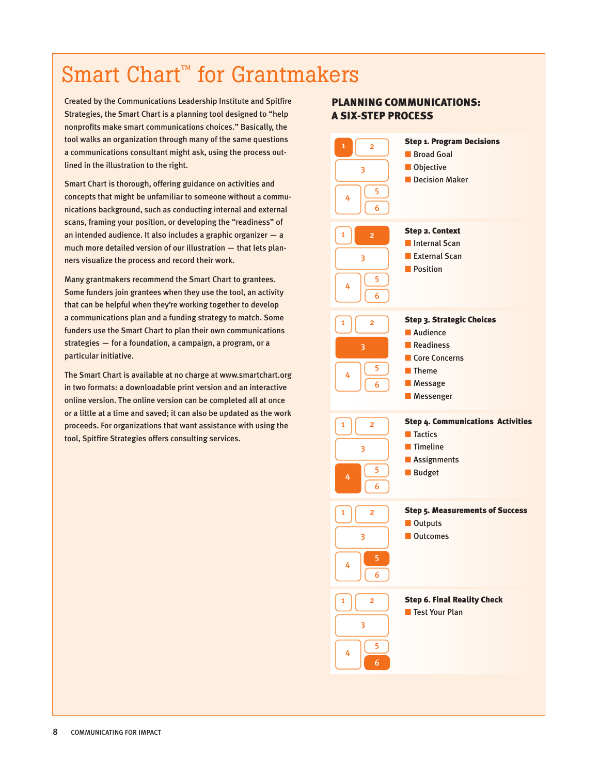## Smart Chart<sup>™</sup> for Grantmakers

Created by the Communications Leadership Institute and Spitfire Strategies, the Smart Chart is a planning tool designed to "help nonprofits make smart communications choices." Basically, the tool walks an organization through many of the same questions a communications consultant might ask, using the process outlined in the illustration to the right.

Smart Chart is thorough, offering guidance on activities and concepts that might be unfamiliar to someone without a communications background, such as conducting internal and external scans, framing your position, or developing the "readiness" of an intended audience. It also includes a graphic organizer — a much more detailed version of our illustration — that lets planners visualize the process and record their work.

Many grantmakers recommend the Smart Chart to grantees. Some funders join grantees when they use the tool, an activity that can be helpful when they're working together to develop a communications plan and a funding strategy to match. Some funders use the Smart Chart to plan their own communications strategies — for a foundation, a campaign, a program, or a particular initiative.

The Smart Chart is available at no charge at www.smartchart.org in two formats: a downloadable print version and an interactive online version. The online version can be completed all at once or a little at a time and saved; it can also be updated as the work proceeds. For organizations that want assistance with using the tool, Spitfire Strategies offers consulting services.

## PLANNING COMMUNICATIONS: A SIX-STEP PROCESS

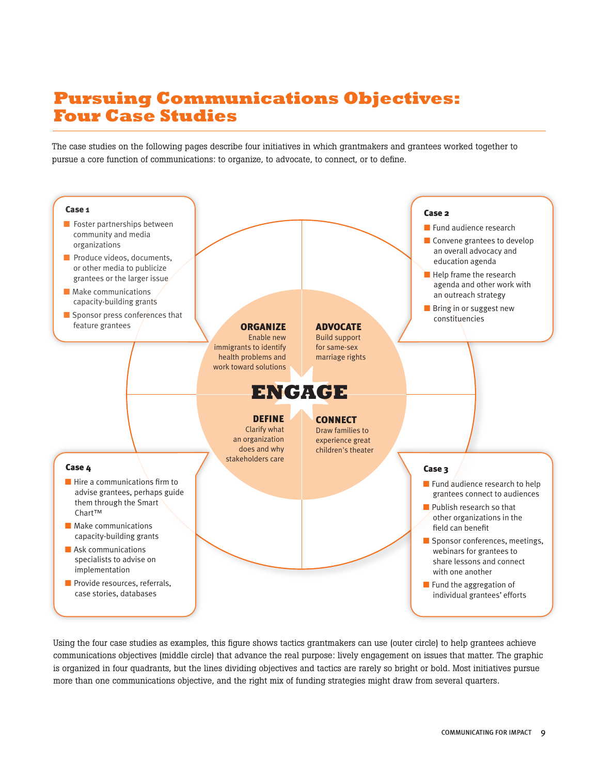## **Pursuing Communications Objectives: Four Case Studies**

The case studies on the following pages describe four initiatives in which grantmakers and grantees worked together to pursue a core function of communications: to organize, to advocate, to connect, or to define.



Using the four case studies as examples, this figure shows tactics grantmakers can use (outer circle) to help grantees achieve communications objectives (middle circle) that advance the real purpose: lively engagement on issues that matter. The graphic is organized in four quadrants, but the lines dividing objectives and tactics are rarely so bright or bold. Most initiatives pursue more than one communications objective, and the right mix of funding strategies might draw from several quarters.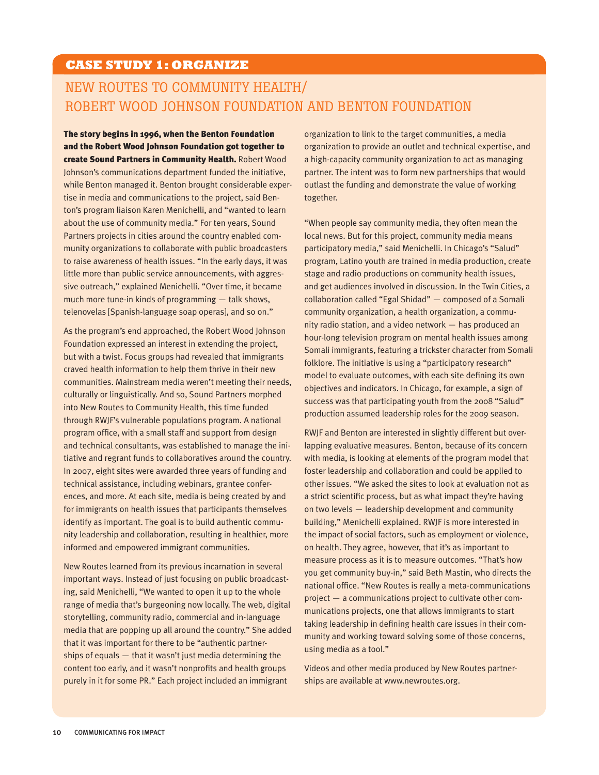## **CASE STUDY 1: ORGANIZE**

## New Routes to Community Health/ Robert Wood Johnson Foundation and Benton Foundation

The story begins in 1996, when the Benton Foundation and the Robert Wood Johnson Foundation got together to create Sound Partners in Community Health. Robert Wood Johnson's communications department funded the initiative, while Benton managed it. Benton brought considerable expertise in media and communications to the project, said Benton's program liaison Karen Menichelli, and "wanted to learn about the use of community media." For ten years, Sound Partners projects in cities around the country enabled community organizations to collaborate with public broadcasters to raise awareness of health issues. "In the early days, it was little more than public service announcements, with aggressive outreach," explained Menichelli. "Over time, it became much more tune-in kinds of programming — talk shows, telenovelas [Spanish-language soap operas], and so on."

As the program's end approached, the Robert Wood Johnson Foundation expressed an interest in extending the project, but with a twist. Focus groups had revealed that immigrants craved health information to help them thrive in their new communities. Mainstream media weren't meeting their needs, culturally or linguistically. And so, Sound Partners morphed into New Routes to Community Health, this time funded through RWJF's vulnerable populations program. A national program office, with a small staff and support from design and technical consultants, was established to manage the initiative and regrant funds to collaboratives around the country. In 2007, eight sites were awarded three years of funding and technical assistance, including webinars, grantee conferences, and more. At each site, media is being created by and for immigrants on health issues that participants themselves identify as important. The goal is to build authentic community leadership and collaboration, resulting in healthier, more informed and empowered immigrant communities.

New Routes learned from its previous incarnation in several important ways. Instead of just focusing on public broadcasting, said Menichelli, "We wanted to open it up to the whole range of media that's burgeoning now locally. The web, digital storytelling, community radio, commercial and in-language media that are popping up all around the country." She added that it was important for there to be "authentic partnerships of equals — that it wasn't just media determining the content too early, and it wasn't nonprofits and health groups purely in it for some PR." Each project included an immigrant

organization to link to the target communities, a media organization to provide an outlet and technical expertise, and a high-capacity community organization to act as managing partner. The intent was to form new partnerships that would outlast the funding and demonstrate the value of working together.

"When people say community media, they often mean the local news. But for this project, community media means participatory media," said Menichelli. In Chicago's "Salud" program, Latino youth are trained in media production, create stage and radio productions on community health issues, and get audiences involved in discussion. In the Twin Cities, a collaboration called "Egal Shidad" — composed of a Somali community organization, a health organization, a community radio station, and a video network — has produced an hour-long television program on mental health issues among Somali immigrants, featuring a trickster character from Somali folklore. The initiative is using a "participatory research" model to evaluate outcomes, with each site defining its own objectives and indicators. In Chicago, for example, a sign of success was that participating youth from the 2008 "Salud" production assumed leadership roles for the 2009 season.

RWJF and Benton are interested in slightly different but overlapping evaluative measures. Benton, because of its concern with media, is looking at elements of the program model that foster leadership and collaboration and could be applied to other issues. "We asked the sites to look at evaluation not as a strict scientific process, but as what impact they're having on two levels — leadership development and community building," Menichelli explained. RWJF is more interested in the impact of social factors, such as employment or violence, on health. They agree, however, that it's as important to measure process as it is to measure outcomes. "That's how you get community buy-in," said Beth Mastin, who directs the national office. "New Routes is really a meta-communications project — a communications project to cultivate other communications projects, one that allows immigrants to start taking leadership in defining health care issues in their community and working toward solving some of those concerns, using media as a tool."

Videos and other media produced by New Routes partnerships are available at www.newroutes.org.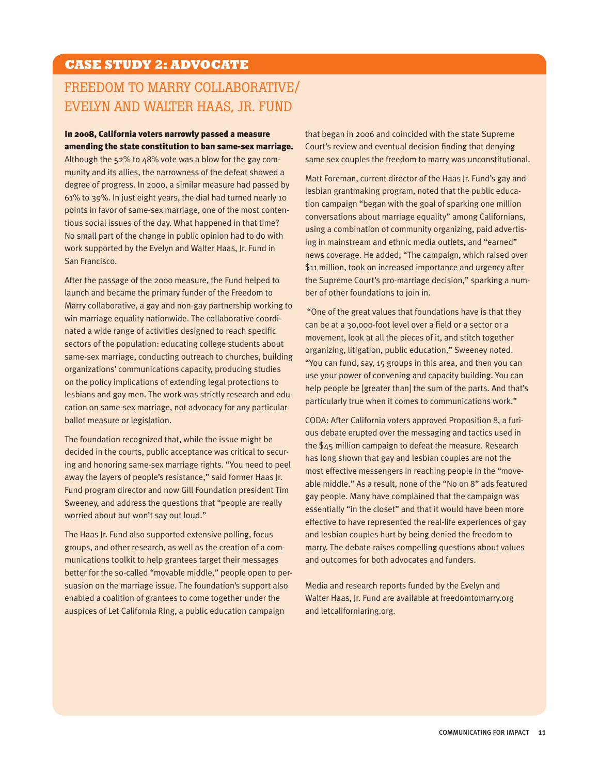## **CASE STUDY 2: ADVOCATE**

## Freedom to Marry Collaborative/ Evelyn and Walter Haas, Jr. Fund

#### In 2008, California voters narrowly passed a measure amending the state constitution to ban same-sex marriage.

Although the 52% to 48% vote was a blow for the gay community and its allies, the narrowness of the defeat showed a degree of progress. In 2000, a similar measure had passed by 61% to 39%. In just eight years, the dial had turned nearly 10 points in favor of same-sex marriage, one of the most contentious social issues of the day. What happened in that time? No small part of the change in public opinion had to do with work supported by the Evelyn and Walter Haas, Jr. Fund in San Francisco.

After the passage of the 2000 measure, the Fund helped to launch and became the primary funder of the Freedom to Marry collaborative, a gay and non-gay partnership working to win marriage equality nationwide. The collaborative coordinated a wide range of activities designed to reach specific sectors of the population: educating college students about same-sex marriage, conducting outreach to churches, building organizations' communications capacity, producing studies on the policy implications of extending legal protections to lesbians and gay men. The work was strictly research and education on same-sex marriage, not advocacy for any particular ballot measure or legislation.

The foundation recognized that, while the issue might be decided in the courts, public acceptance was critical to securing and honoring same-sex marriage rights. "You need to peel away the layers of people's resistance," said former Haas Jr. Fund program director and now Gill Foundation president Tim Sweeney, and address the questions that "people are really worried about but won't say out loud."

The Haas Jr. Fund also supported extensive polling, focus groups, and other research, as well as the creation of a communications toolkit to help grantees target their messages better for the so-called "movable middle," people open to persuasion on the marriage issue. The foundation's support also enabled a coalition of grantees to come together under the auspices of Let California Ring, a public education campaign

that began in 2006 and coincided with the state Supreme Court's review and eventual decision finding that denying same sex couples the freedom to marry was unconstitutional.

Matt Foreman, current director of the Haas Jr. Fund's gay and lesbian grantmaking program, noted that the public education campaign "began with the goal of sparking one million conversations about marriage equality" among Californians, using a combination of community organizing, paid advertising in mainstream and ethnic media outlets, and "earned" news coverage. He added, "The campaign, which raised over \$11 million, took on increased importance and urgency after the Supreme Court's pro-marriage decision," sparking a number of other foundations to join in.

 "One of the great values that foundations have is that they can be at a 30,000-foot level over a field or a sector or a movement, look at all the pieces of it, and stitch together organizing, litigation, public education," Sweeney noted. "You can fund, say, 15 groups in this area, and then you can use your power of convening and capacity building. You can help people be [greater than] the sum of the parts. And that's particularly true when it comes to communications work."

CODA: After California voters approved Proposition 8, a furious debate erupted over the messaging and tactics used in the \$45 million campaign to defeat the measure. Research has long shown that gay and lesbian couples are not the most effective messengers in reaching people in the "moveable middle." As a result, none of the "No on 8" ads featured gay people. Many have complained that the campaign was essentially "in the closet" and that it would have been more effective to have represented the real-life experiences of gay and lesbian couples hurt by being denied the freedom to marry. The debate raises compelling questions about values and outcomes for both advocates and funders.

Media and research reports funded by the Evelyn and Walter Haas, Jr. Fund are available at freedomtomarry.org and letcaliforniaring.org.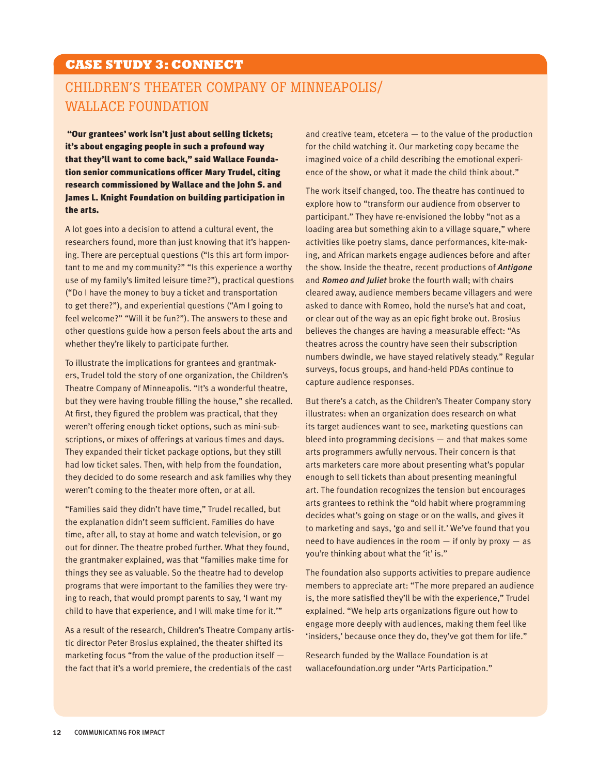## **CASE STUDY 3: CONNECT**

## Children's Theater Company of Minneapolis/ Wallace Foundation

"Our grantees' work isn't just about selling tickets; it's about engaging people in such a profound way that they'll want to come back," said Wallace Foundation senior communications officer Mary Trudel, citing research commissioned by Wallace and the John S. and James L. Knight Foundation on building participation in the arts.

A lot goes into a decision to attend a cultural event, the researchers found, more than just knowing that it's happening. There are perceptual questions ("Is this art form important to me and my community?" "Is this experience a worthy use of my family's limited leisure time?"), practical questions ("Do I have the money to buy a ticket and transportation to get there?"), and experiential questions ("Am I going to feel welcome?" "Will it be fun?"). The answers to these and other questions guide how a person feels about the arts and whether they're likely to participate further.

To illustrate the implications for grantees and grantmakers, Trudel told the story of one organization, the Children's Theatre Company of Minneapolis. "It's a wonderful theatre, but they were having trouble filling the house," she recalled. At first, they figured the problem was practical, that they weren't offering enough ticket options, such as mini-subscriptions, or mixes of offerings at various times and days. They expanded their ticket package options, but they still had low ticket sales. Then, with help from the foundation, they decided to do some research and ask families why they weren't coming to the theater more often, or at all.

"Families said they didn't have time," Trudel recalled, but the explanation didn't seem sufficient. Families do have time, after all, to stay at home and watch television, or go out for dinner. The theatre probed further. What they found, the grantmaker explained, was that "families make time for things they see as valuable. So the theatre had to develop programs that were important to the families they were trying to reach, that would prompt parents to say, 'I want my child to have that experience, and I will make time for it.'"

As a result of the research, Children's Theatre Company artistic director Peter Brosius explained, the theater shifted its marketing focus "from the value of the production itself the fact that it's a world premiere, the credentials of the cast

and creative team, etcetera  $-$  to the value of the production for the child watching it. Our marketing copy became the imagined voice of a child describing the emotional experience of the show, or what it made the child think about."

The work itself changed, too. The theatre has continued to explore how to "transform our audience from observer to participant." They have re-envisioned the lobby "not as a loading area but something akin to a village square," where activities like poetry slams, dance performances, kite-making, and African markets engage audiences before and after the show. Inside the theatre, recent productions of *Antigone* and *Romeo and Juliet* broke the fourth wall; with chairs cleared away, audience members became villagers and were asked to dance with Romeo, hold the nurse's hat and coat, or clear out of the way as an epic fight broke out. Brosius believes the changes are having a measurable effect: "As theatres across the country have seen their subscription numbers dwindle, we have stayed relatively steady." Regular surveys, focus groups, and hand-held PDAs continue to capture audience responses.

But there's a catch, as the Children's Theater Company story illustrates: when an organization does research on what its target audiences want to see, marketing questions can bleed into programming decisions — and that makes some arts programmers awfully nervous. Their concern is that arts marketers care more about presenting what's popular enough to sell tickets than about presenting meaningful art. The foundation recognizes the tension but encourages arts grantees to rethink the "old habit where programming decides what's going on stage or on the walls, and gives it to marketing and says, 'go and sell it.' We've found that you need to have audiences in the room  $-$  if only by proxy  $-$  as you're thinking about what the 'it' is."

The foundation also supports activities to prepare audience members to appreciate art: "The more prepared an audience is, the more satisfied they'll be with the experience," Trudel explained. "We help arts organizations figure out how to engage more deeply with audiences, making them feel like 'insiders,' because once they do, they've got them for life."

Research funded by the Wallace Foundation is at wallacefoundation.org under "Arts Participation."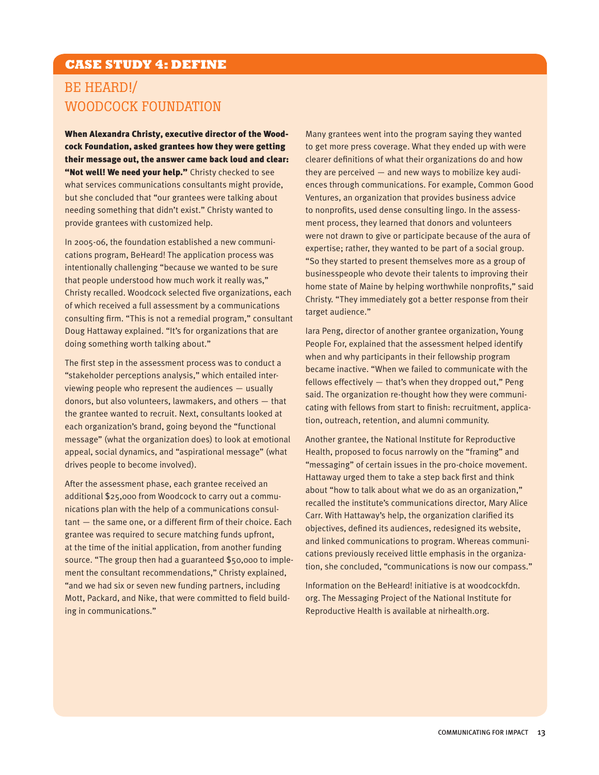## **CASE STUDY 4: DEFINE**

## Be Heard!/ Woodcock Foundation

When Alexandra Christy, executive director of the Woodcock Foundation, asked grantees how they were getting their message out, the answer came back loud and clear: "Not well! We need your help." Christy checked to see what services communications consultants might provide, but she concluded that "our grantees were talking about needing something that didn't exist." Christy wanted to provide grantees with customized help.

In 2005-06, the foundation established a new communications program, BeHeard! The application process was intentionally challenging "because we wanted to be sure that people understood how much work it really was," Christy recalled. Woodcock selected five organizations, each of which received a full assessment by a communications consulting firm. "This is not a remedial program," consultant Doug Hattaway explained. "It's for organizations that are doing something worth talking about."

The first step in the assessment process was to conduct a "stakeholder perceptions analysis," which entailed interviewing people who represent the audiences — usually donors, but also volunteers, lawmakers, and others — that the grantee wanted to recruit. Next, consultants looked at each organization's brand, going beyond the "functional message" (what the organization does) to look at emotional appeal, social dynamics, and "aspirational message" (what drives people to become involved).

After the assessment phase, each grantee received an additional \$25,000 from Woodcock to carry out a communications plan with the help of a communications consultant — the same one, or a different firm of their choice. Each grantee was required to secure matching funds upfront, at the time of the initial application, from another funding source. "The group then had a guaranteed \$50,000 to implement the consultant recommendations," Christy explained, "and we had six or seven new funding partners, including Mott, Packard, and Nike, that were committed to field building in communications."

Many grantees went into the program saying they wanted to get more press coverage. What they ended up with were clearer definitions of what their organizations do and how they are perceived — and new ways to mobilize key audiences through communications. For example, Common Good Ventures, an organization that provides business advice to nonprofits, used dense consulting lingo. In the assessment process, they learned that donors and volunteers were not drawn to give or participate because of the aura of expertise; rather, they wanted to be part of a social group. "So they started to present themselves more as a group of businesspeople who devote their talents to improving their home state of Maine by helping worthwhile nonprofits," said Christy. "They immediately got a better response from their target audience."

Iara Peng, director of another grantee organization, Young People For, explained that the assessment helped identify when and why participants in their fellowship program became inactive. "When we failed to communicate with the fellows effectively — that's when they dropped out," Peng said. The organization re-thought how they were communicating with fellows from start to finish: recruitment, application, outreach, retention, and alumni community.

Another grantee, the National Institute for Reproductive Health, proposed to focus narrowly on the "framing" and "messaging" of certain issues in the pro-choice movement. Hattaway urged them to take a step back first and think about "how to talk about what we do as an organization," recalled the institute's communications director, Mary Alice Carr. With Hattaway's help, the organization clarified its objectives, defined its audiences, redesigned its website, and linked communications to program. Whereas communications previously received little emphasis in the organization, she concluded, "communications is now our compass."

Information on the BeHeard! initiative is at woodcockfdn. org. The Messaging Project of the National Institute for Reproductive Health is available at nirhealth.org.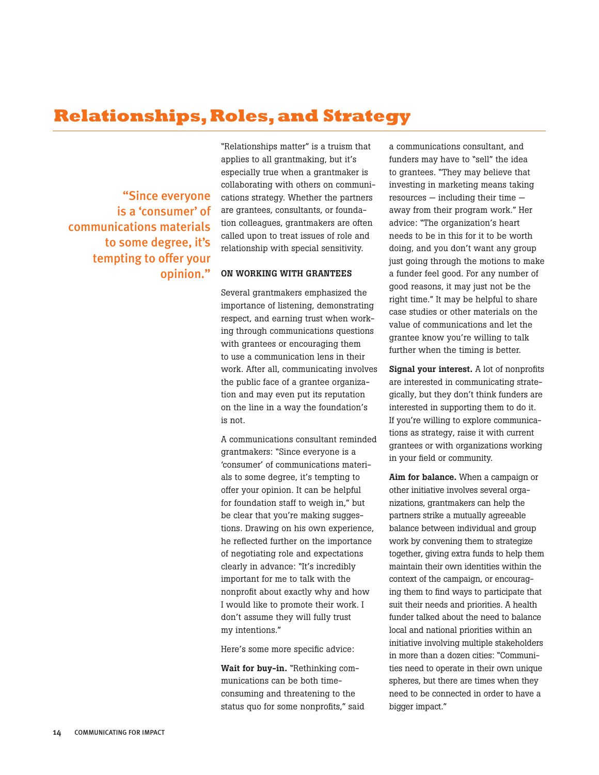## **Relationships, Roles, and Strategy**

"Since everyone is a 'consumer' of communications materials to some degree, it's tempting to offer your opinion."

"Relationships matter" is a truism that applies to all grantmaking, but it's especially true when a grantmaker is collaborating with others on communications strategy. Whether the partners are grantees, consultants, or foundation colleagues, grantmakers are often called upon to treat issues of role and relationship with special sensitivity.

#### On working with grantees

Several grantmakers emphasized the importance of listening, demonstrating respect, and earning trust when working through communications questions with grantees or encouraging them to use a communication lens in their work. After all, communicating involves the public face of a grantee organization and may even put its reputation on the line in a way the foundation's is not.

A communications consultant reminded grantmakers: "Since everyone is a 'consumer' of communications materials to some degree, it's tempting to offer your opinion. It can be helpful for foundation staff to weigh in," but be clear that you're making suggestions. Drawing on his own experience, he reflected further on the importance of negotiating role and expectations clearly in advance: "It's incredibly important for me to talk with the nonprofit about exactly why and how I would like to promote their work. I don't assume they will fully trust my intentions."

Here's some more specific advice:

Wait for buy-in. "Rethinking communications can be both timeconsuming and threatening to the status quo for some nonprofits," said a communications consultant, and funders may have to "sell" the idea to grantees. "They may believe that investing in marketing means taking resources — including their time away from their program work." Her advice: "The organization's heart needs to be in this for it to be worth doing, and you don't want any group just going through the motions to make a funder feel good. For any number of good reasons, it may just not be the right time." It may be helpful to share case studies or other materials on the value of communications and let the grantee know you're willing to talk further when the timing is better.

Signal your interest. A lot of nonprofits are interested in communicating strategically, but they don't think funders are interested in supporting them to do it. If you're willing to explore communications as strategy, raise it with current grantees or with organizations working in your field or community.

Aim for balance. When a campaign or other initiative involves several organizations, grantmakers can help the partners strike a mutually agreeable balance between individual and group work by convening them to strategize together, giving extra funds to help them maintain their own identities within the context of the campaign, or encouraging them to find ways to participate that suit their needs and priorities. A health funder talked about the need to balance local and national priorities within an initiative involving multiple stakeholders in more than a dozen cities: "Communities need to operate in their own unique spheres, but there are times when they need to be connected in order to have a bigger impact."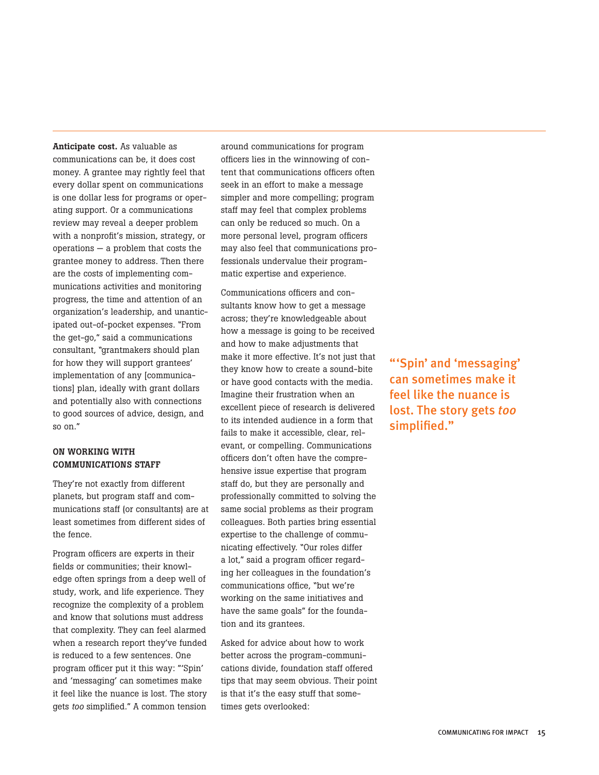Anticipate cost. As valuable as communications can be, it does cost money. A grantee may rightly feel that every dollar spent on communications is one dollar less for programs or operating support. Or a communications review may reveal a deeper problem with a nonprofit's mission, strategy, or operations — a problem that costs the grantee money to address. Then there are the costs of implementing communications activities and monitoring progress, the time and attention of an organization's leadership, and unanticipated out-of-pocket expenses. "From the get-go," said a communications consultant, "grantmakers should plan for how they will support grantees' implementation of any [communications] plan, ideally with grant dollars and potentially also with connections to good sources of advice, design, and so on."

#### On working with communications staff

They're not exactly from different planets, but program staff and communications staff (or consultants) are at least sometimes from different sides of the fence.

Program officers are experts in their fields or communities; their knowledge often springs from a deep well of study, work, and life experience. They recognize the complexity of a problem and know that solutions must address that complexity. They can feel alarmed when a research report they've funded is reduced to a few sentences. One program officer put it this way: "'Spin' and 'messaging' can sometimes make it feel like the nuance is lost. The story gets *too* simplified." A common tension

around communications for program officers lies in the winnowing of content that communications officers often seek in an effort to make a message simpler and more compelling; program staff may feel that complex problems can only be reduced so much. On a more personal level, program officers may also feel that communications professionals undervalue their programmatic expertise and experience.

Communications officers and consultants know how to get a message across; they're knowledgeable about how a message is going to be received and how to make adjustments that make it more effective. It's not just that they know how to create a sound-bite or have good contacts with the media. Imagine their frustration when an excellent piece of research is delivered to its intended audience in a form that fails to make it accessible, clear, relevant, or compelling. Communications officers don't often have the comprehensive issue expertise that program staff do, but they are personally and professionally committed to solving the same social problems as their program colleagues. Both parties bring essential expertise to the challenge of communicating effectively. "Our roles differ a lot," said a program officer regarding her colleagues in the foundation's communications office, "but we're working on the same initiatives and have the same goals" for the foundation and its grantees.

Asked for advice about how to work better across the program-communications divide, foundation staff offered tips that may seem obvious. Their point is that it's the easy stuff that sometimes gets overlooked:

"'Spin' and 'messaging' can sometimes make it feel like the nuance is lost. The story gets *too* simplified."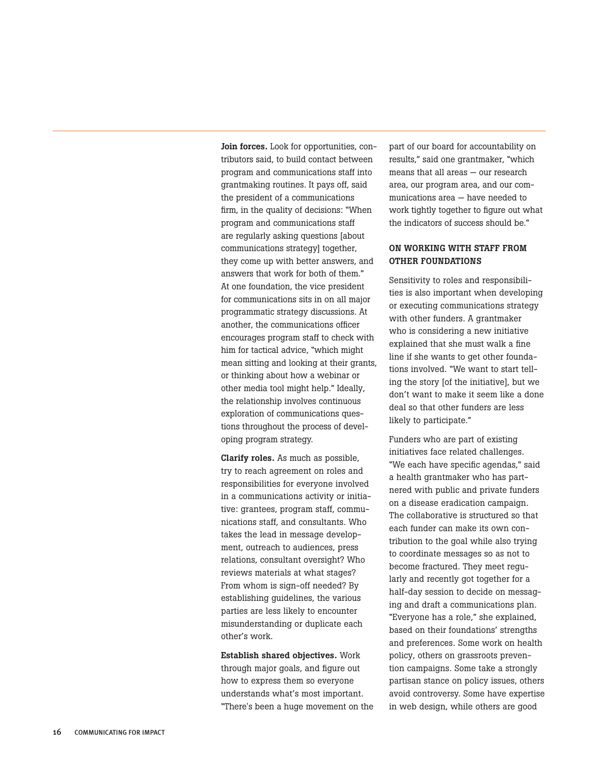Join forces. Look for opportunities, contributors said, to build contact between program and communications staff into grantmaking routines. It pays off, said the president of a communications firm, in the quality of decisions: "When program and communications staff are regularly asking questions [about communications strategy] together, they come up with better answers, and answers that work for both of them." At one foundation, the vice president for communications sits in on all major programmatic strategy discussions. At another, the communications officer encourages program staff to check with him for tactical advice, "which might mean sitting and looking at their grants, or thinking about how a webinar or other media tool might help." Ideally, the relationship involves continuous exploration of communications questions throughout the process of developing program strategy.

Clarify roles. As much as possible, try to reach agreement on roles and responsibilities for everyone involved in a communications activity or initiative: grantees, program staff, communications staff, and consultants. Who takes the lead in message development, outreach to audiences, press relations, consultant oversight? Who reviews materials at what stages? From whom is sign-off needed? By establishing guidelines, the various parties are less likely to encounter misunderstanding or duplicate each other's work.

Establish shared objectives. Work through major goals, and figure out how to express them so everyone understands what's most important. "There's been a huge movement on the part of our board for accountability on results," said one grantmaker, "which means that all areas — our research area, our program area, and our communications area — have needed to work tightly together to figure out what the indicators of success should be."

#### On working with staff from other foundations

Sensitivity to roles and responsibilities is also important when developing or executing communications strategy with other funders. A grantmaker who is considering a new initiative explained that she must walk a fine line if she wants to get other foundations involved. "We want to start telling the story [of the initiative], but we don't want to make it seem like a done deal so that other funders are less likely to participate."

Funders who are part of existing initiatives face related challenges. "We each have specific agendas," said a health grantmaker who has partnered with public and private funders on a disease eradication campaign. The collaborative is structured so that each funder can make its own contribution to the goal while also trying to coordinate messages so as not to become fractured. They meet regularly and recently got together for a half-day session to decide on messaging and draft a communications plan. "Everyone has a role," she explained, based on their foundations' strengths and preferences. Some work on health policy, others on grassroots prevention campaigns. Some take a strongly partisan stance on policy issues, others avoid controversy. Some have expertise in web design, while others are good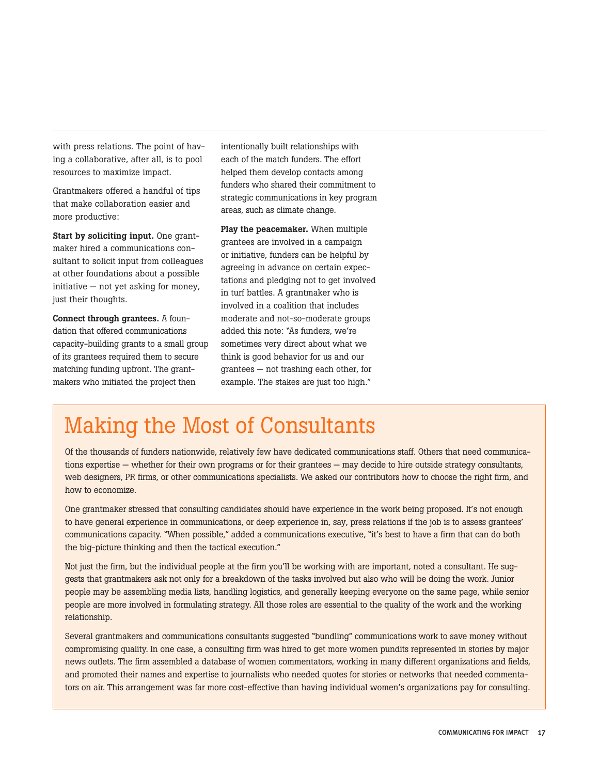with press relations. The point of having a collaborative, after all, is to pool resources to maximize impact.

Grantmakers offered a handful of tips that make collaboration easier and more productive:

Start by soliciting input. One grantmaker hired a communications consultant to solicit input from colleagues at other foundations about a possible initiative — not yet asking for money, just their thoughts.

Connect through grantees. A foundation that offered communications capacity-building grants to a small group of its grantees required them to secure matching funding upfront. The grantmakers who initiated the project then

intentionally built relationships with each of the match funders. The effort helped them develop contacts among funders who shared their commitment to strategic communications in key program areas, such as climate change.

Play the peacemaker. When multiple grantees are involved in a campaign or initiative, funders can be helpful by agreeing in advance on certain expectations and pledging not to get involved in turf battles. A grantmaker who is involved in a coalition that includes moderate and not-so-moderate groups added this note: "As funders, we're sometimes very direct about what we think is good behavior for us and our grantees — not trashing each other, for example. The stakes are just too high."

## Making the Most of Consultants

Of the thousands of funders nationwide, relatively few have dedicated communications staff. Others that need communications expertise — whether for their own programs or for their grantees — may decide to hire outside strategy consultants, web designers, PR firms, or other communications specialists. We asked our contributors how to choose the right firm, and how to economize.

One grantmaker stressed that consulting candidates should have experience in the work being proposed. It's not enough to have general experience in communications, or deep experience in, say, press relations if the job is to assess grantees' communications capacity. "When possible," added a communications executive, "it's best to have a firm that can do both the big-picture thinking and then the tactical execution."

Not just the firm, but the individual people at the firm you'll be working with are important, noted a consultant. He suggests that grantmakers ask not only for a breakdown of the tasks involved but also who will be doing the work. Junior people may be assembling media lists, handling logistics, and generally keeping everyone on the same page, while senior people are more involved in formulating strategy. All those roles are essential to the quality of the work and the working relationship.

Several grantmakers and communications consultants suggested "bundling" communications work to save money without compromising quality. In one case, a consulting firm was hired to get more women pundits represented in stories by major news outlets. The firm assembled a database of women commentators, working in many different organizations and fields, and promoted their names and expertise to journalists who needed quotes for stories or networks that needed commentators on air. This arrangement was far more cost-effective than having individual women's organizations pay for consulting.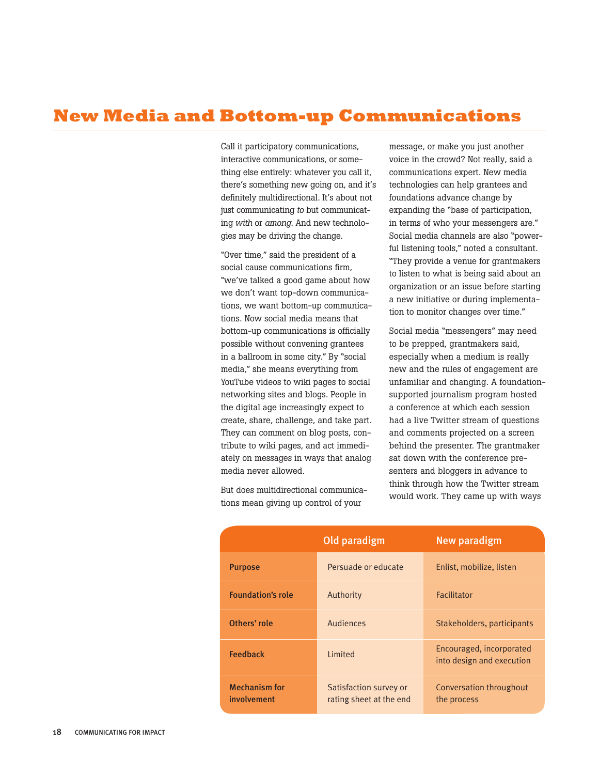## **New Media and Bottom-up Communications**

Call it participatory communications, interactive communications, or something else entirely: whatever you call it, there's something new going on, and it's definitely multidirectional. It's about not just communicating *to* but communicating *with* or *among*. And new technologies may be driving the change.

"Over time," said the president of a social cause communications firm, "we've talked a good game about how we don't want top-down communications, we want bottom-up communications. Now social media means that bottom-up communications is officially possible without convening grantees in a ballroom in some city." By "social media," she means everything from YouTube videos to wiki pages to social networking sites and blogs. People in the digital age increasingly expect to create, share, challenge, and take part. They can comment on blog posts, contribute to wiki pages, and act immediately on messages in ways that analog media never allowed.

But does multidirectional communications mean giving up control of your

message, or make you just another voice in the crowd? Not really, said a communications expert. New media technologies can help grantees and foundations advance change by expanding the "base of participation, in terms of who your messengers are." Social media channels are also "powerful listening tools," noted a consultant. "They provide a venue for grantmakers to listen to what is being said about an organization or an issue before starting a new initiative or during implementation to monitor changes over time."

Social media "messengers" may need to be prepped, grantmakers said, especially when a medium is really new and the rules of engagement are unfamiliar and changing. A foundationsupported journalism program hosted a conference at which each session had a live Twitter stream of questions and comments projected on a screen behind the presenter. The grantmaker sat down with the conference presenters and bloggers in advance to think through how the Twitter stream would work. They came up with ways

|                                     | Old paradigm                                      | <b>New paradigm</b>                                   |
|-------------------------------------|---------------------------------------------------|-------------------------------------------------------|
| <b>Purpose</b>                      | Persuade or educate                               | Enlist, mobilize, listen                              |
| <b>Foundation's role</b>            | Authority                                         | Facilitator                                           |
| Others' role                        | Audiences                                         | Stakeholders, participants                            |
| <b>Feedback</b>                     | <b>Limited</b>                                    | Encouraged, incorporated<br>into design and execution |
| <b>Mechanism for</b><br>involvement | Satisfaction survey or<br>rating sheet at the end | Conversation throughout<br>the process                |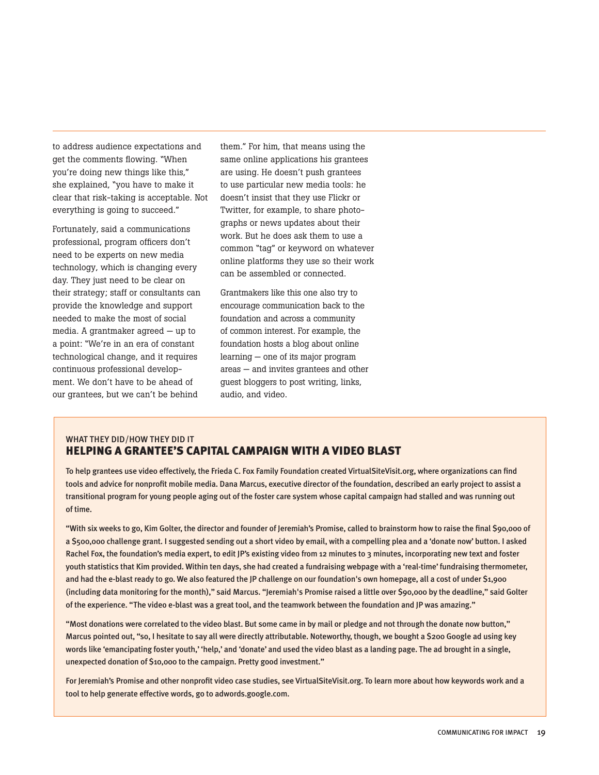to address audience expectations and get the comments flowing. "When you're doing new things like this," she explained, "you have to make it clear that risk-taking is acceptable. Not everything is going to succeed."

Fortunately, said a communications professional, program officers don't need to be experts on new media technology, which is changing every day. They just need to be clear on their strategy; staff or consultants can provide the knowledge and support needed to make the most of social media. A grantmaker agreed — up to a point: "We're in an era of constant technological change, and it requires continuous professional development. We don't have to be ahead of our grantees, but we can't be behind

them." For him, that means using the same online applications his grantees are using. He doesn't push grantees to use particular new media tools: he doesn't insist that they use Flickr or Twitter, for example, to share photographs or news updates about their work. But he does ask them to use a common "tag" or keyword on whatever online platforms they use so their work can be assembled or connected.

Grantmakers like this one also try to encourage communication back to the foundation and across a community of common interest. For example, the foundation hosts a blog about online learning — one of its major program areas — and invites grantees and other guest bloggers to post writing, links, audio, and video.

#### WHAT THEY DID/HOW THEY DID IT HELPING A GRANTEE'S CAPITAL CAMPAIGN WITH A VIDEO BLAST

To help grantees use video effectively, the Frieda C. Fox Family Foundation created VirtualSiteVisit.org, where organizations can find tools and advice for nonprofit mobile media. Dana Marcus, executive director of the foundation, described an early project to assist a transitional program for young people aging out of the foster care system whose capital campaign had stalled and was running out of time.

"With six weeks to go, Kim Golter, the director and founder of Jeremiah's Promise, called to brainstorm how to raise the final \$90,000 of a \$500,000 challenge grant. I suggested sending out a short video by email, with a compelling plea and a 'donate now' button. I asked Rachel Fox, the foundation's media expert, to edit JP's existing video from 12 minutes to 3 minutes, incorporating new text and foster youth statistics that Kim provided. Within ten days, she had created a fundraising webpage with a 'real-time' fundraising thermometer, and had the e-blast ready to go. We also featured the JP challenge on our foundation's own homepage, all a cost of under \$1,900 (including data monitoring for the month)," said Marcus. "Jeremiah's Promise raised a little over \$90,000 by the deadline," said Golter of the experience. "The video e-blast was a great tool, and the teamwork between the foundation and JP was amazing."

"Most donations were correlated to the video blast. But some came in by mail or pledge and not through the donate now button," Marcus pointed out, "so, I hesitate to say all were directly attributable. Noteworthy, though, we bought a \$200 Google ad using key words like 'emancipating foster youth,' 'help,' and 'donate' and used the video blast as a landing page. The ad brought in a single, unexpected donation of \$10,000 to the campaign. Pretty good investment."

For Jeremiah's Promise and other nonprofit video case studies, see VirtualSiteVisit.org. To learn more about how keywords work and a tool to help generate effective words, go to adwords.google.com.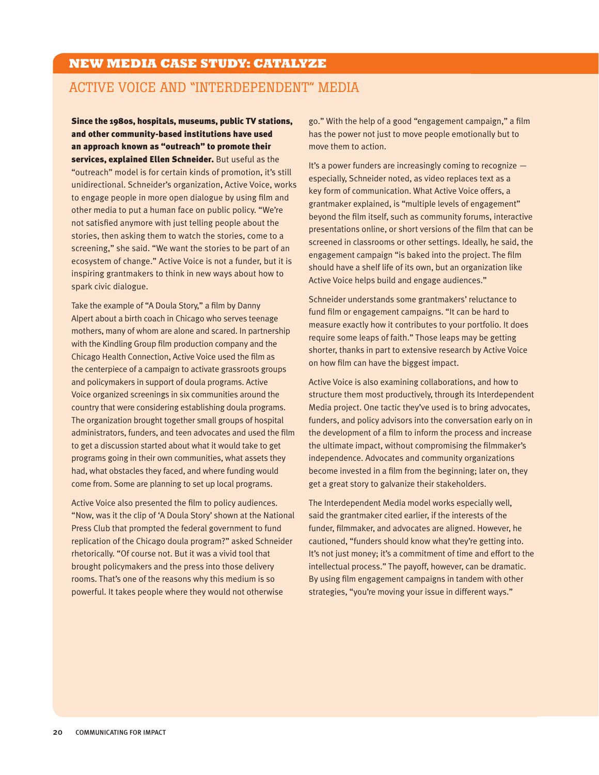### **NEW MEDIA CASE STUDY: CATALYZE**

## Active Voice and "Interdependent" Media

Since the 1980s, hospitals, museums, public TV stations, and other community-based institutions have used an approach known as "outreach" to promote their services, explained Ellen Schneider. But useful as the "outreach" model is for certain kinds of promotion, it's still unidirectional. Schneider's organization, Active Voice, works to engage people in more open dialogue by using film and other media to put a human face on public policy. "We're not satisfied anymore with just telling people about the stories, then asking them to watch the stories, come to a screening," she said. "We want the stories to be part of an ecosystem of change." Active Voice is not a funder, but it is inspiring grantmakers to think in new ways about how to spark civic dialogue.

Take the example of "A Doula Story," a film by Danny Alpert about a birth coach in Chicago who serves teenage mothers, many of whom are alone and scared. In partnership with the Kindling Group film production company and the Chicago Health Connection, Active Voice used the film as the centerpiece of a campaign to activate grassroots groups and policymakers in support of doula programs. Active Voice organized screenings in six communities around the country that were considering establishing doula programs. The organization brought together small groups of hospital administrators, funders, and teen advocates and used the film to get a discussion started about what it would take to get programs going in their own communities, what assets they had, what obstacles they faced, and where funding would come from. Some are planning to set up local programs.

Active Voice also presented the film to policy audiences. "Now, was it the clip of 'A Doula Story' shown at the National Press Club that prompted the federal government to fund replication of the Chicago doula program?" asked Schneider rhetorically. "Of course not. But it was a vivid tool that brought policymakers and the press into those delivery rooms. That's one of the reasons why this medium is so powerful. It takes people where they would not otherwise

go." With the help of a good "engagement campaign," a film has the power not just to move people emotionally but to move them to action.

It's a power funders are increasingly coming to recognize especially, Schneider noted, as video replaces text as a key form of communication. What Active Voice offers, a grantmaker explained, is "multiple levels of engagement" beyond the film itself, such as community forums, interactive presentations online, or short versions of the film that can be screened in classrooms or other settings. Ideally, he said, the engagement campaign "is baked into the project. The film should have a shelf life of its own, but an organization like Active Voice helps build and engage audiences."

Schneider understands some grantmakers' reluctance to fund film or engagement campaigns. "It can be hard to measure exactly how it contributes to your portfolio. It does require some leaps of faith." Those leaps may be getting shorter, thanks in part to extensive research by Active Voice on how film can have the biggest impact.

Active Voice is also examining collaborations, and how to structure them most productively, through its Interdependent Media project. One tactic they've used is to bring advocates, funders, and policy advisors into the conversation early on in the development of a film to inform the process and increase the ultimate impact, without compromising the filmmaker's independence. Advocates and community organizations become invested in a film from the beginning; later on, they get a great story to galvanize their stakeholders.

The Interdependent Media model works especially well, said the grantmaker cited earlier, if the interests of the funder, filmmaker, and advocates are aligned. However, he cautioned, "funders should know what they're getting into. It's not just money; it's a commitment of time and effort to the intellectual process." The payoff, however, can be dramatic. By using film engagement campaigns in tandem with other strategies, "you're moving your issue in different ways."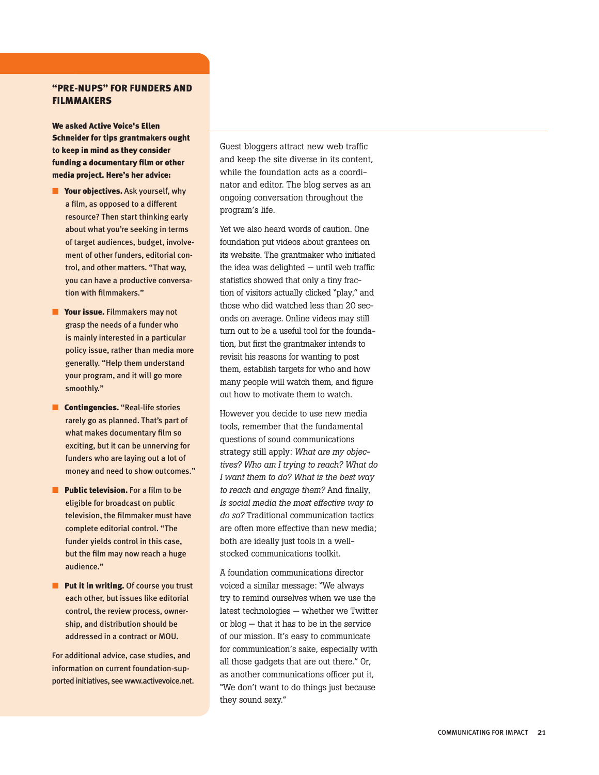#### "PRE-NUPS" FOR Funders and **FILMMAKERS**

We asked Active Voice's Ellen Schneider for tips grantmakers ought to keep in mind as they consider funding a documentary film or other media project. Here's her advice:

- Your objectives. Ask yourself, why a film, as opposed to a different resource? Then start thinking early about what you're seeking in terms of target audiences, budget, involvement of other funders, editorial control, and other matters. "That way, you can have a productive conversation with filmmakers."
- Your issue. Filmmakers may not grasp the needs of a funder who is mainly interested in a particular policy issue, rather than media more generally. "Help them understand your program, and it will go more smoothly."
- **Contingencies.** "Real-life stories rarely go as planned. That's part of what makes documentary film so exciting, but it can be unnerving for funders who are laying out a lot of money and need to show outcomes."
- Public television. For a film to be eligible for broadcast on public television, the filmmaker must have complete editorial control. "The funder yields control in this case, but the film may now reach a huge audience."
- Put it in writing. Of course you trust each other, but issues like editorial control, the review process, ownership, and distribution should be addressed in a contract or MOU.

For additional advice, case studies, and information on current foundation-supported initiatives, see www.activevoice.net. Guest bloggers attract new web traffic and keep the site diverse in its content, while the foundation acts as a coordinator and editor. The blog serves as an ongoing conversation throughout the program's life.

Yet we also heard words of caution. One foundation put videos about grantees on its website. The grantmaker who initiated the idea was delighted — until web traffic statistics showed that only a tiny fraction of visitors actually clicked "play," and those who did watched less than 20 seconds on average. Online videos may still turn out to be a useful tool for the foundation, but first the grantmaker intends to revisit his reasons for wanting to post them, establish targets for who and how many people will watch them, and figure out how to motivate them to watch.

However you decide to use new media tools, remember that the fundamental questions of sound communications strategy still apply: *What are my objectives? Who am I trying to reach? What do I want them to do? What is the best way to reach and engage them?* And finally, *Is social media the most effective way to do so?* Traditional communication tactics are often more effective than new media; both are ideally just tools in a wellstocked communications toolkit.

A foundation communications director voiced a similar message: "We always try to remind ourselves when we use the latest technologies — whether we Twitter or blog — that it has to be in the service of our mission. It's easy to communicate for communication's sake, especially with all those gadgets that are out there." Or, as another communications officer put it, "We don't want to do things just because they sound sexy."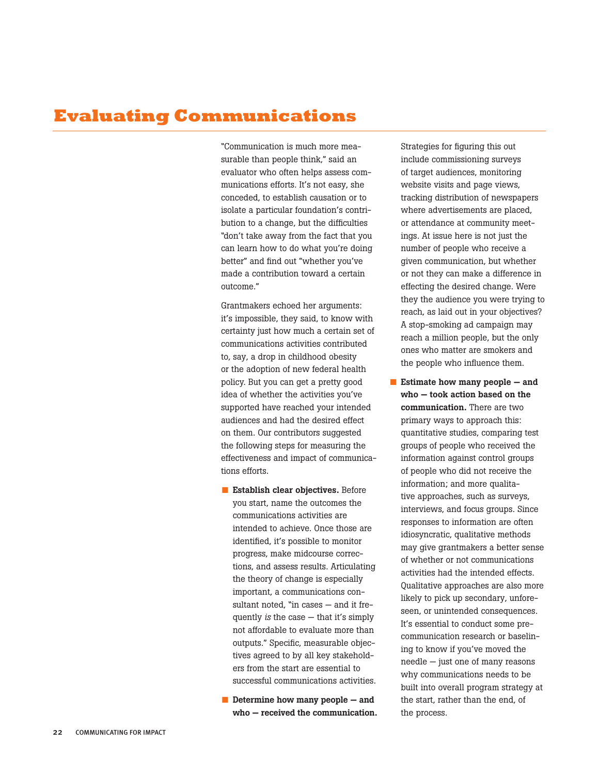## **Evaluating Communications**

"Communication is much more measurable than people think," said an evaluator who often helps assess communications efforts. It's not easy, she conceded, to establish causation or to isolate a particular foundation's contribution to a change, but the difficulties "don't take away from the fact that you can learn how to do what you're doing better" and find out "whether you've made a contribution toward a certain outcome."

Grantmakers echoed her arguments: it's impossible, they said, to know with certainty just how much a certain set of communications activities contributed to, say, a drop in childhood obesity or the adoption of new federal health policy. But you can get a pretty good idea of whether the activities you've supported have reached your intended audiences and had the desired effect on them. Our contributors suggested the following steps for measuring the effectiveness and impact of communications efforts.

- Establish clear objectives. Before you start, name the outcomes the communications activities are intended to achieve. Once those are identified, it's possible to monitor progress, make midcourse corrections, and assess results. Articulating the theory of change is especially important, a communications consultant noted, "in cases — and it frequently *is* the case — that it's simply not affordable to evaluate more than outputs." Specific, measurable objectives agreed to by all key stakeholders from the start are essential to successful communications activities.
- $\blacksquare$  Determine how many people  $-$  and who — received the communication.

Strategies for figuring this out include commissioning surveys of target audiences, monitoring website visits and page views, tracking distribution of newspapers where advertisements are placed, or attendance at community meetings. At issue here is not just the number of people who receive a given communication, but whether or not they can make a difference in effecting the desired change. Were they the audience you were trying to reach, as laid out in your objectives? A stop-smoking ad campaign may reach a million people, but the only ones who matter are smokers and the people who influence them.

■ Estimate how many people  $-$  and who — took action based on the communication. There are two primary ways to approach this: quantitative studies, comparing test groups of people who received the information against control groups of people who did not receive the information; and more qualitative approaches, such as surveys, interviews, and focus groups. Since responses to information are often idiosyncratic, qualitative methods may give grantmakers a better sense of whether or not communications activities had the intended effects. Qualitative approaches are also more likely to pick up secondary, unforeseen, or unintended consequences. It's essential to conduct some precommunication research or baselining to know if you've moved the needle — just one of many reasons why communications needs to be built into overall program strategy at the start, rather than the end, of the process.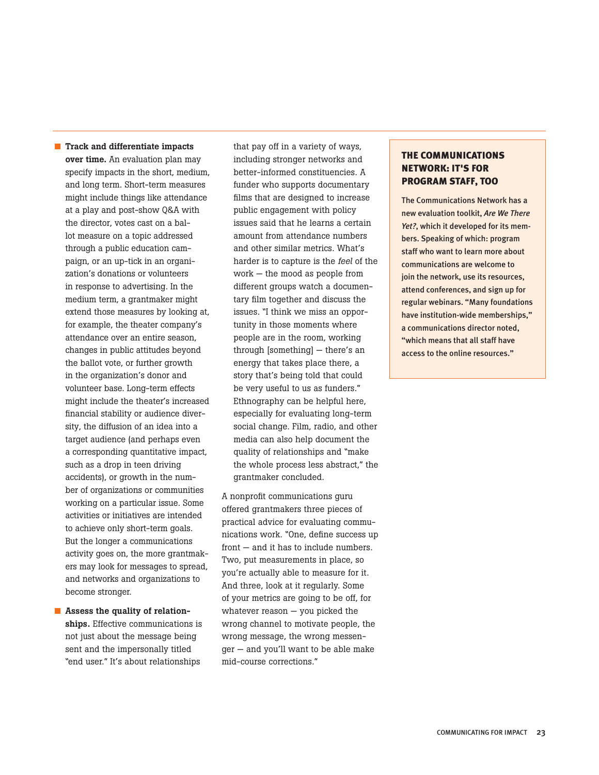■ Track and differentiate impacts over time. An evaluation plan may specify impacts in the short, medium, and long term. Short-term measures might include things like attendance at a play and post-show Q&A with the director, votes cast on a ballot measure on a topic addressed through a public education campaign, or an up-tick in an organization's donations or volunteers in response to advertising. In the medium term, a grantmaker might extend those measures by looking at, for example, the theater company's attendance over an entire season, changes in public attitudes beyond the ballot vote, or further growth in the organization's donor and volunteer base. Long-term effects might include the theater's increased financial stability or audience diversity, the diffusion of an idea into a target audience (and perhaps even a corresponding quantitative impact, such as a drop in teen driving accidents), or growth in the number of organizations or communities working on a particular issue. Some activities or initiatives are intended to achieve only short-term goals. But the longer a communications activity goes on, the more grantmakers may look for messages to spread, and networks and organizations to become stronger.

■ Assess the quality of relationships. Effective communications is not just about the message being sent and the impersonally titled "end user." It's about relationships

that pay off in a variety of ways, including stronger networks and better-informed constituencies. A funder who supports documentary films that are designed to increase public engagement with policy issues said that he learns a certain amount from attendance numbers and other similar metrics. What's harder is to capture is the *feel* of the work — the mood as people from different groups watch a documentary film together and discuss the issues. "I think we miss an opportunity in those moments where people are in the room, working through [something] — there's an energy that takes place there, a story that's being told that could be very useful to us as funders." Ethnography can be helpful here, especially for evaluating long-term social change. Film, radio, and other media can also help document the quality of relationships and "make the whole process less abstract," the grantmaker concluded.

A nonprofit communications guru offered grantmakers three pieces of practical advice for evaluating communications work. "One, define success up front — and it has to include numbers. Two, put measurements in place, so you're actually able to measure for it. And three, look at it regularly. Some of your metrics are going to be off, for whatever reason — you picked the wrong channel to motivate people, the wrong message, the wrong messenger — and you'll want to be able make mid-course corrections."

#### The Communications Network: It's for Program Staff, Too

The Communications Network has a new evaluation toolkit, *Are We There Yet?*, which it developed for its members. Speaking of which: program staff who want to learn more about communications are welcome to join the network, use its resources. attend conferences, and sign up for regular webinars. "Many foundations have institution-wide memberships," a communications director noted, "which means that all staff have access to the online resources."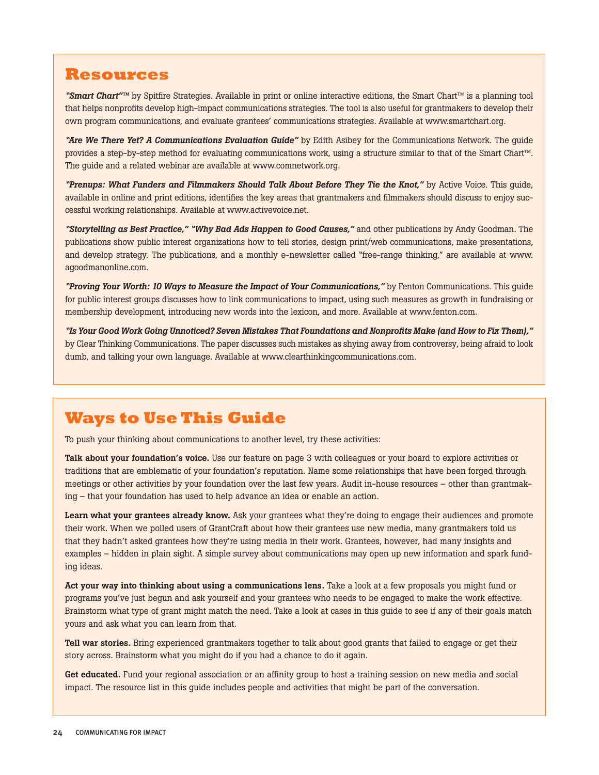## **Resources**

*"Smart Chart"™* by Spitfire Strategies. Available in print or online interactive editions, the Smart Chart™ is a planning tool that helps nonprofits develop high-impact communications strategies. The tool is also useful for grantmakers to develop their own program communications, and evaluate grantees' communications strategies. Available at www.smartchart.org.

*"Are We There Yet? A Communications Evaluation Guide"* by Edith Asibey for the Communications Network. The guide provides a step-by-step method for evaluating communications work, using a structure similar to that of the Smart Chart™. The guide and a related webinar are available at www.comnetwork.org.

*"Prenups: What Funders and Filmmakers Should Talk About Before They Tie the Knot,"* by Active Voice. This guide, available in online and print editions, identifies the key areas that grantmakers and filmmakers should discuss to enjoy successful working relationships. Available at www.activevoice.net.

*"Storytelling as Best Practice," "Why Bad Ads Happen to Good Causes,"* and other publications by Andy Goodman. The publications show public interest organizations how to tell stories, design print/web communications, make presentations, and develop strategy. The publications, and a monthly e-newsletter called "free-range thinking," are available at www. agoodmanonline.com.

*"Proving Your Worth: 10 Ways to Measure the Impact of Your Communications,"* by Fenton Communications. This guide for public interest groups discusses how to link communications to impact, using such measures as growth in fundraising or membership development, introducing new words into the lexicon, and more. Available at www.fenton.com.

*"Is Your Good Work Going Unnoticed? Seven Mistakes That Foundations and Nonprofits Make (and How to Fix Them),"* by Clear Thinking Communications. The paper discusses such mistakes as shying away from controversy, being afraid to look dumb, and talking your own language. Available at www.clearthinkingcommunications.com.

## **Ways to Use This Guide**

To push your thinking about communications to another level, try these activities:

Talk about your foundation's voice. Use our feature on page 3 with colleagues or your board to explore activities or traditions that are emblematic of your foundation's reputation. Name some relationships that have been forged through meetings or other activities by your foundation over the last few years. Audit in-house resources – other than grantmaking – that your foundation has used to help advance an idea or enable an action.

Learn what your grantees already know. Ask your grantees what they're doing to engage their audiences and promote their work. When we polled users of GrantCraft about how their grantees use new media, many grantmakers told us that they hadn't asked grantees how they're using media in their work. Grantees, however, had many insights and examples – hidden in plain sight. A simple survey about communications may open up new information and spark funding ideas.

Act your way into thinking about using a communications lens. Take a look at a few proposals you might fund or programs you've just begun and ask yourself and your grantees who needs to be engaged to make the work effective. Brainstorm what type of grant might match the need. Take a look at cases in this guide to see if any of their goals match yours and ask what you can learn from that.

Tell war stories. Bring experienced grantmakers together to talk about good grants that failed to engage or get their story across. Brainstorm what you might do if you had a chance to do it again.

Get educated. Fund your regional association or an affinity group to host a training session on new media and social impact. The resource list in this guide includes people and activities that might be part of the conversation.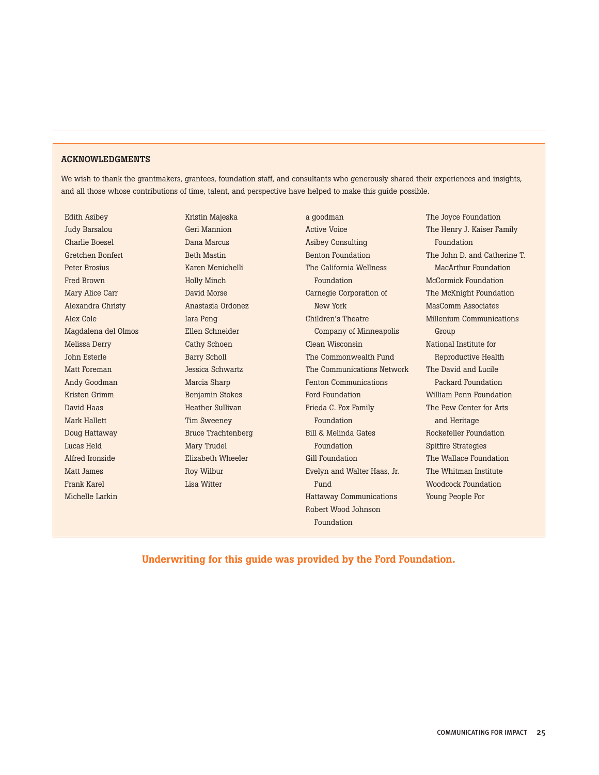#### ACKNOWLEDGMENTS

We wish to thank the grantmakers, grantees, foundation staff, and consultants who generously shared their experiences and insights, and all those whose contributions of time, talent, and perspective have helped to make this guide possible.

Edith Asibey Judy Barsalou Charlie Boesel Gretchen Bonfert Peter Brosius Fred Brown Mary Alice Carr Alexandra Christy Alex Cole Magdalena del Olmos Melissa Derry John Esterle Matt Foreman Andy Goodman Kristen Grimm David Haas Mark Hallett Doug Hattaway Lucas Held Alfred Ironside Matt James Frank Karel Michelle Larkin

Kristin Majeska Geri Mannion Dana Marcus Beth Mastin Karen Menichelli Holly Minch David Morse Anastasia Ordonez Iara Peng Ellen Schneider Cathy Schoen Barry Scholl Jessica Schwartz Marcia Sharp Benjamin Stokes Heather Sullivan Tim Sweeney Bruce Trachtenberg Mary Trudel Elizabeth Wheeler Roy Wilbur Lisa Witter

a goodman Active Voice Asibey Consulting Benton Foundation The California Wellness Foundation Carnegie Corporation of New York Children's Theatre Company of Minneapolis Clean Wisconsin The Commonwealth Fund The Communications Network Fenton Communications Ford Foundation Frieda C. Fox Family Foundation Bill & Melinda Gates Foundation Gill Foundation Evelyn and Walter Haas, Jr. Fund Hattaway Communications Robert Wood Johnson Foundation

The Joyce Foundation The Henry J. Kaiser Family Foundation The John D. and Catherine T. MacArthur Foundation McCormick Foundation The McKnight Foundation MasComm Associates Millenium Communications Group National Institute for Reproductive Health The David and Lucile Packard Foundation William Penn Foundation The Pew Center for Arts and Heritage Rockefeller Foundation Spitfire Strategies The Wallace Foundation The Whitman Institute Woodcock Foundation Young People For

Underwriting for this guide was provided by the Ford Foundation.